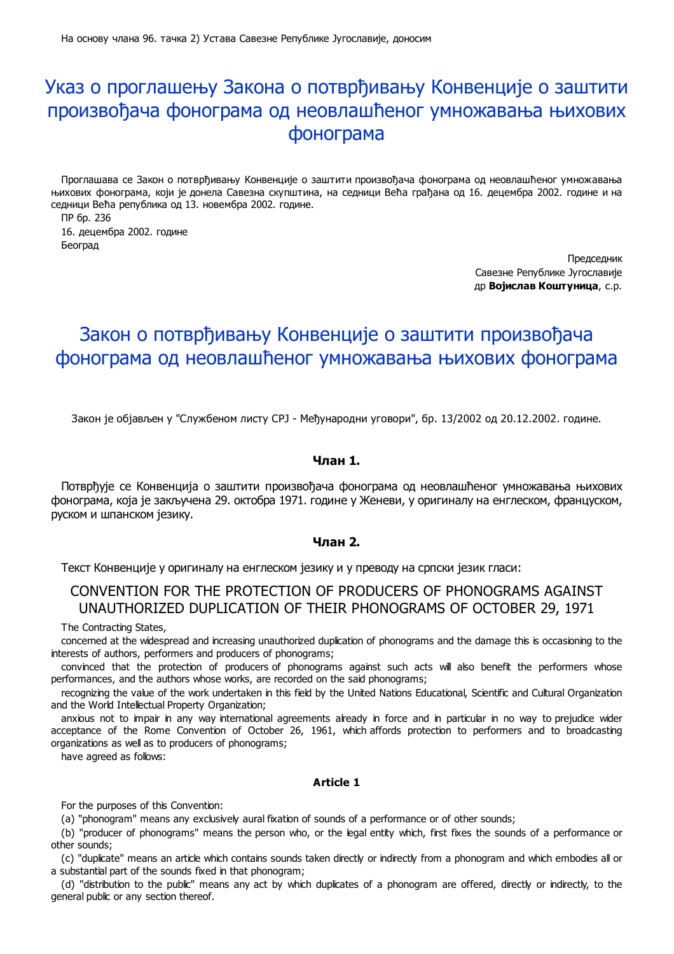# Указ о проглашењу Закона о потврђивању Конвенције о заштити произвођача фонограма од неовлашћеног умножавања њихових фонограма

Проглашава се Закон о потврђивању Конвенције о заштити произвођача фонограма од неовлашћеног умножавања њихових фонограма, који је донела Савезна скупштина, на седници Већа грађана од 16. децембра 2002. године и на седници Већа република од 13. новембра 2002. године.

ПР бр. 236 16. децембра 2002. године Београд

Председник Савезне Републике Југославије др **Војислав Коштуница**, с.р.

# Закон о потврђивању Конвенције о заштити произвођача фонограма од неовлашћеног умножавања њихових фонограма

Закон је објављен у "Службеном листу СРЈ - Међународни уговори", бр. 13/2002 од 20.12.2002. године.

# **Члан 1.**

Потврђује се Конвенција о заштити произвођача фонограма од неовлашћеног умножавања њихових фонограма, која је закључена 29. октобра 1971. године у Женеви, у оригиналу на енглеском, француском, руском и шпанском језику.

# **Члан 2.**

Текст Конвенције у оригиналу на енглеском језику и у преводу на српски језик гласи:

# CONVENTION FOR THE PROTECTION OF PRODUCERS OF PHONOGRAMS AGAINST UNAUTHORIZED DUPLICATION OF THEIR PHONOGRAMS OF OCTOBER 29, 1971

The Contracting States,

concerned at the widespread and increasing unauthorized duplication of phonograms and the damage this is occasioning to the interests of authors, performers and producers of phonograms;

convinced that the protection of producers of phonograms against such acts will also benefit the performers whose performances, and the authors whose works, are recorded on the said phonograms;

recognizing the value of the work undertaken in this field by the United Nations Educational, Scientific and Cultural Organization and the World Intellectual Property Organization;

anxious not to impair in any way international agreements already in force and in particular in no way to prejudice wider acceptance of the Rome Convention of October 26, 1961, which affords protection to performers and to broadcasting organizations as well as to producers of phonograms;

have agreed as follows:

### **Article 1**

For the purposes of this Convention:

(a) "phonogram" means any exclusively aural fixation of sounds of a performance or of other sounds;

(b) "producer of phonograms" means the person who, or the legal entity which, first fixes the sounds of a performance or other sounds;

(c) "duplicate" means an article which contains sounds taken directly or indirectly from a phonogram and which embodies all or a substantial part of the sounds fixed in that phonogram;

(d) "distribution to the public" means any act by which duplicates of a phonogram are offered, directly or indirectly, to the general public or any section thereof.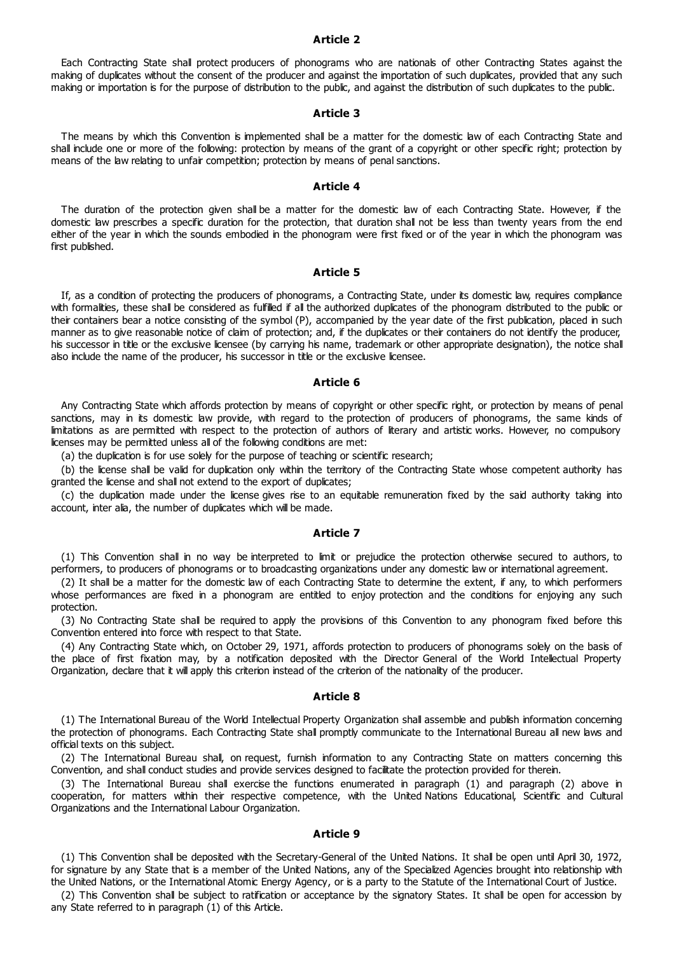# **Article 2**

Each Contracting State shall protect producers of phonograms who are nationals of other Contracting States against the making of duplicates without the consent of the producer and against the importation of such duplicates, provided that any such making or importation is for the purpose of distribution to the public, and against the distribution of such duplicates to the public.

### **Article 3**

The means by which this Convention is implemented shall be a matter for the domestic law of each Contracting State and shall include one or more of the following: protection by means of the grant of a copyright or other specific right; protection by means of the law relating to unfair competition; protection by means of penal sanctions.

# **Article 4**

The duration of the protection given shall be a matter for the domestic law of each Contracting State. However, if the domestic law prescribes a specific duration for the protection, that duration shall not be less than twenty years from the end either of the year in which the sounds embodied in the phonogram were first fixed or of the year in which the phonogram was first published.

## **Article 5**

If, as a condition of protecting the producers of phonograms, a Contracting State, under its domestic law, requires compliance with formalities, these shall be considered as fulfilled if all the authorized duplicates of the phonogram distributed to the public or their containers bear a notice consisting of the symbol (P), accompanied by the year date of the first publication, placed in such manner as to give reasonable notice of claim of protection; and, if the duplicates or their containers do not identify the producer, his successor in title or the exclusive licensee (by carrying his name, trademark or other appropriate designation), the notice shall also include the name of the producer, his successor in title or the exclusive licensee.

## **Article 6**

Any Contracting State which affords protection by means of copyright or other specific right, or protection by means of penal sanctions, may in its domestic law provide, with regard to the protection of producers of phonograms, the same kinds of limitations as are permitted with respect to the protection of authors of literary and artistic works. However, no compulsory licenses may be permitted unless all of the following conditions are met:

(a) the duplication is for use solely for the purpose of teaching or scientific research;

(b) the license shall be valid for duplication only within the territory of the Contracting State whose competent authority has granted the license and shall not extend to the export of duplicates;

(c) the duplication made under the license gives rise to an equitable remuneration fixed by the said authority taking into account, inter alia, the number of duplicates which will be made.

### **Article 7**

(1) This Convention shall in no way be interpreted to limit or prejudice the protection otherwise secured to authors, to performers, to producers of phonograms or to broadcasting organizations under any domestic law or international agreement.

(2) It shall be a matter for the domestic law of each Contracting State to determine the extent, if any, to which performers whose performances are fixed in a phonogram are entitled to enjoy protection and the conditions for enjoying any such protection.

(3) No Contracting State shall be required to apply the provisions of this Convention to any phonogram fixed before this Convention entered into force with respect to that State.

(4) Any Contracting State which, on October 29, 1971, affords protection to producers of phonograms solely on the basis of the place of first fixation may, by a notification deposited with the Director General of the World Intellectual Property Organization, declare that it will apply this criterion instead of the criterion of the nationality of the producer.

### **Article 8**

(1) The International Bureau of the World Intellectual Property Organization shall assemble and publish information concerning the protection of phonograms. Each Contracting State shall promptly communicate to the International Bureau all new laws and official texts on this subject.

(2) The International Bureau shall, on request, furnish information to any Contracting State on matters concerning this Convention, and shall conduct studies and provide services designed to facilitate the protection provided for therein.

(3) The International Bureau shall exercise the functions enumerated in paragraph (1) and paragraph (2) above in cooperation, for matters within their respective competence, with the United Nations Educational, Scientific and Cultural Organizations and the International Labour Organization.

# **Article 9**

(1) This Convention shall be deposited with the Secretary-General of the United Nations. It shall be open until April 30, 1972, for signature by any State that is a member of the United Nations, any of the Specialized Agencies brought into relationship with the United Nations, or the International Atomic Energy Agency, or is a party to the Statute of the International Court of Justice.

(2) This Convention shall be subject to ratification or acceptance by the signatory States. It shall be open for accession by any State referred to in paragraph (1) of this Article.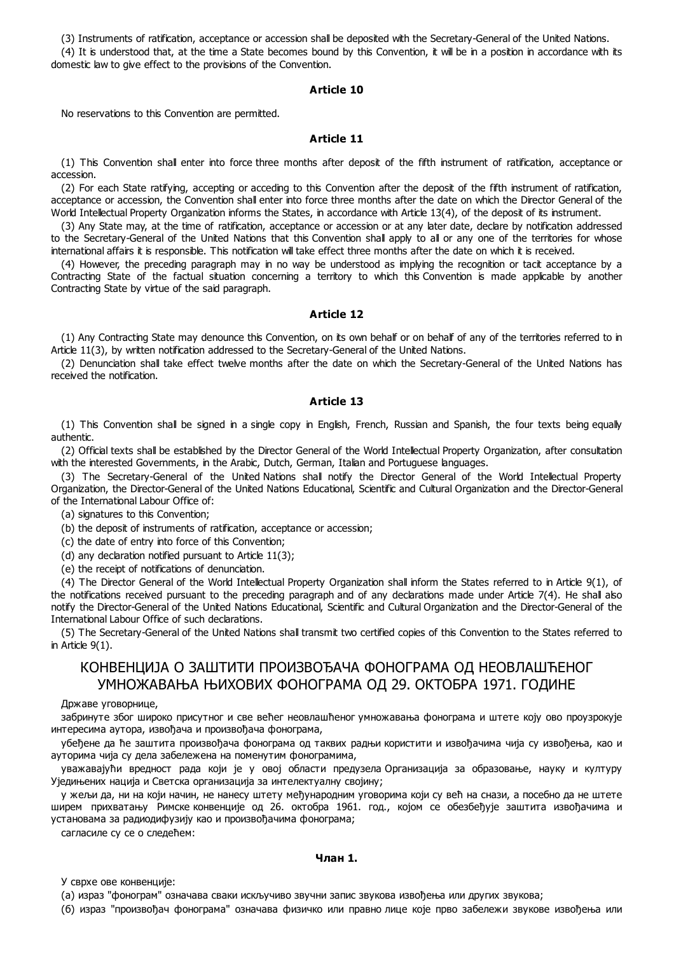(3) Instruments of ratification, acceptance or accession shall be deposited with the Secretary-General of the United Nations. (4) It is understood that, at the time a State becomes bound by this Convention, it will be in a position in accordance with its domestic law to give effect to the provisions of the Convention.

# **Article 10**

No reservations to this Convention are permitted.

# **Article 11**

(1) This Convention shall enter into force three months after deposit of the fifth instrument of ratification, acceptance or accession.

(2) For each State ratifying, accepting or acceding to this Convention after the deposit of the fifth instrument of ratification, acceptance or accession, the Convention shall enter into force three months after the date on which the Director General of the World Intellectual Property Organization informs the States, in accordance with Article 13(4), of the deposit of its instrument.

(3) Any State may, at the time of ratification, acceptance or accession or at any later date, declare by notification addressed to the Secretary-General of the United Nations that this Convention shall apply to all or any one of the territories for whose international affairs it is responsible. This notification will take effect three months after the date on which it is received.

(4) However, the preceding paragraph may in no way be understood as implying the recognition or tacit acceptance by a Contracting State of the factual situation concerning a territory to which this Convention is made applicable by another Contracting State by virtue of the said paragraph.

# **Article 12**

(1) Any Contracting State may denounce this Convention, on its own behalf or on behalf of any of the territories referred to in Article 11(3), by written notification addressed to the Secretary-General of the United Nations.

(2) Denunciation shall take effect twelve months after the date on which the Secretary-General of the United Nations has received the notification.

# **Article 13**

(1) This Convention shall be signed in a single copy in English, French, Russian and Spanish, the four texts being equally authentic.

(2) Official texts shall be established by the Director General of the World Intellectual Property Organization, after consultation with the interested Governments, in the Arabic, Dutch, German, Italian and Portuguese languages.

(3) The Secretary-General of the United Nations shall notify the Director General of the World Intellectual Property Organization, the Director-General of the United Nations Educational, Scientific and Cultural Organization and the Director-General of the International Labour Office of:

(a) signatures to this Convention;

(b) the deposit of instruments of ratification, acceptance or accession;

(c) the date of entry into force of this Convention;

(d) any declaration notified pursuant to Article  $11(3)$ ;

(e) the receipt of notifications of denunciation.

(4) The Director General of the World Intellectual Property Organization shall inform the States referred to in Article 9(1), of the notifications received pursuant to the preceding paragraph and of any declarations made under Article 7(4). He shall also notify the Director-General of the United Nations Educational, Scientific and Cultural Organization and the Director-General of the International Labour Office of such declarations.

(5) The Secretary-General of the United Nations shall transmit two certified copies of this Convention to the States referred to in Article 9(1).

# КОНВЕНЦИЈА О ЗАШТИТИ ПРОИЗВОЂАЧА ФОНОГРАМА ОД НЕОВЛАШЋЕНОГ УМНОЖАВАЊА ЊИХОВИХ ФОНОГРАМА ОД 29. ОКТОБРА 1971. ГОДИНЕ

## Државе уговорнице,

забринуте због широко присутног и све већег неовлашћеног умножавања фонограма и штете коју ово проузрокује интересима аутора, извођача и произвођача фонограма,

убеђене да ће заштита произвођача фонограма од таквих радњи користити и извођачима чија су извођења, као и ауторима чија су дела забележена на поменутим фонограмима,

уважавајући вредност рада који је у овој области предузела Организација за образовање, науку и културу Уједињених нација и Светска организација за интелектуалну својину;

у жељи да, ни на који начин, не нанесу штету међународним уговорима који су већ на снази, а посебно да не штете ширем прихватању Римске конвенције од 26. октобра 1961. год., којом се обезбеђује заштита извођачима и установама за радиодифузију као и произвођачима фонограма;

сагласиле су се о следећем:

### **Члан 1.**

У сврхе ове конвенције:

(а) израз "фонограм" означава сваки искључиво звучни запис звукова извођења или других звукова;

(б) израз "произвођач фонограма" означава физичко или правно лице које прво забележи звукове извођења или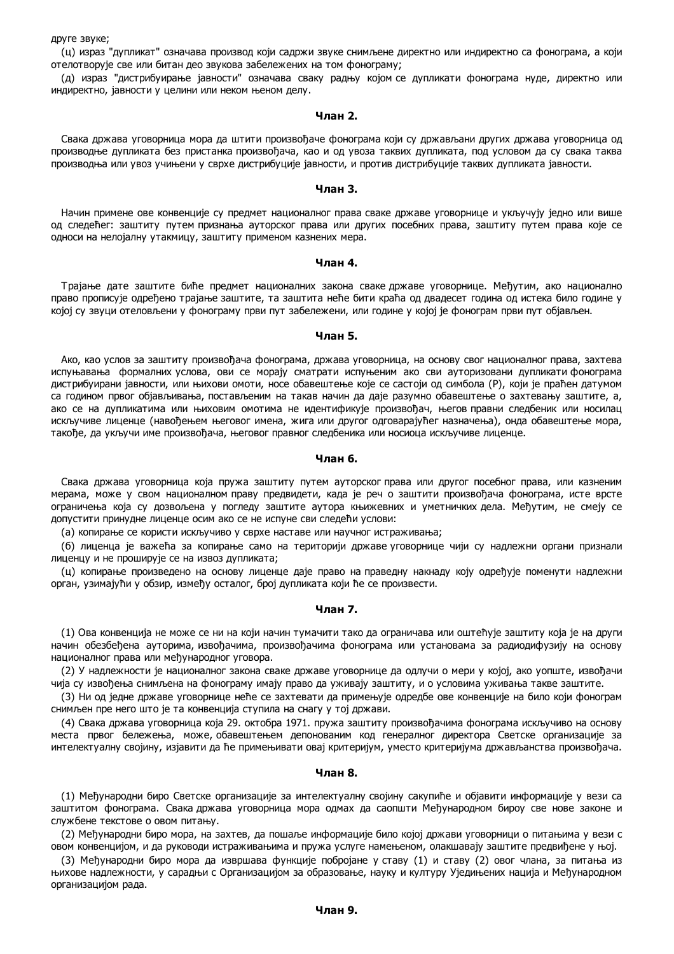друге звуке;

(ц) израз "дупликат" означава производ који садржи звуке снимљене директно или индиректно са фонограма, а који отелотворује све или битан део звукова забележених на том фонограму;

(д) израз "дистрибуирање јавности" означава сваку радњу којом се дупликати фонограма нуде, директно или индиректно, јавности у целини или неком њеном делу.

### **Члан 2.**

Свака држава уговорница мора да штити произвођаче фонограма који су држављани других држава уговорница од производње дупликата без пристанка произвођача, као и од увоза таквих дупликата, под условом да су свака таква производња или увоз учињени у сврхе дистрибуције јавности, и против дистрибуције таквих дупликата јавности.

#### **Члан 3.**

Начин примене ове конвенције су предмет националног права сваке државе уговорнице и укључују једно или више од следећег: заштиту путем признања ауторског права или других посебних права, заштиту путем права које се односи на нелојалну утакмицу, заштиту применом казнених мера.

#### **Члан 4.**

Трајање дате заштите биће предмет националних закона сваке државе уговорнице. Међутим, ако национално право прописује одређено трајање заштите, та заштита неће бити краћа од двадесет година од истека било године у којој су звуци отеловљени у фонограму први пут забележени, или године у којој је фонограм први пут објављен.

#### **Члан 5.**

Ако, као услов за заштиту произвођача фонограма, држава уговорница, на основу свог националног права, захтева испуњавања формалних услова, ови се морају сматрати испуњеним ако сви ауторизовани дупликати фонограма дистрибуирани јавности, или њихови омоти, носе обавештење које се састоји од симбола (Р), који је праћен датумом са годином првог објављивања, постављеним на такав начин да даје разумно обавештење о захтевању заштите, а, ако се на дупликатима или њиховим омотима не идентификује произвођач, његов правни следбеник или носилац искључиве лиценце (навођењем његовог имена, жига или другог одговарајућег назначења), онда обавештење мора, такође, да укључи име произвођача, његовог правног следбеника или носиоца искључиве лиценце.

### **Члан 6.**

Свака држава уговорница која пружа заштиту путем ауторског права или другог посебног права, или казненим мерама, може у свом националном праву предвидети, када је реч о заштити произвођача фонограма, исте врсте ограничења која су дозвољена у погледу заштите аутора књижевних и уметничких дела. Међутим, не смеју се допустити принудне лиценце осим ако се не испуне сви следећи услови:

(а) копирање се користи искључиво у сврхе наставе или научног истраживања;

(б) лиценца је важећа за копирање само на територији државе уговорнице чији су надлежни органи признали лиценцу и не проширује се на извоз дупликата;

(ц) копирање произведено на основу лиценце даје право на праведну накнаду коју одређује поменути надлежни орган, узимајући у обзир, између осталог, број дупликата који ће се произвести.

### **Члан 7.**

(1) Ова конвенција не може се ни на који начин тумачити тако да ограничава или оштећује заштиту која је на други начин обезбеђена ауторима, извођачима, произвођачима фонограма или установама за радиодифузију на основу националног права или међународног уговора.

(2) У надлежности је националног закона сваке државе уговорнице да одлучи о мери у којој, ако уопште, извођачи чија су извођења снимљена на фонограму имају право да уживају заштиту, и о условима уживања такве заштите.

(3) Ни од једне државе уговорнице неће се захтевати да примењује одредбе ове конвенције на било који фонограм снимљен пре него што је та конвенција ступила на снагу у тој држави.

(4) Свака држава уговорница која 29. октобра 1971. пружа заштиту произвођачима фонограма искључиво на основу места првог бележења, може, обавештењем депонованим код генералног директора Светске организације за интелектуалну својину, изјавити да ће примењивати овај критеријум, уместо критеријума држављанства произвођача.

### **Члан 8.**

(1) Међународни биро Светске организације за интелектуалну својину сакупиће и објавити информације у вези са заштитом фонограма. Свака држава уговорница мора одмах да саопшти Међународном бироу све нове законе и службене текстове о овом питању.

(2) Међународни биро мора, на захтев, да пошаље информације било којој држави уговорници о питањима у вези с овом конвенцијом, и да руководи истраживањима и пружа услуге намењеном, олакшавају заштите предвиђене у њој.

(3) Међународни биро мора да извршава функције побројане у ставу (1) и ставу (2) овог члана, за питања из њихове надлежности, у сарадњи с Организацијом за образовање, науку и културу Уједињених нација и Међународном организацијом рада.